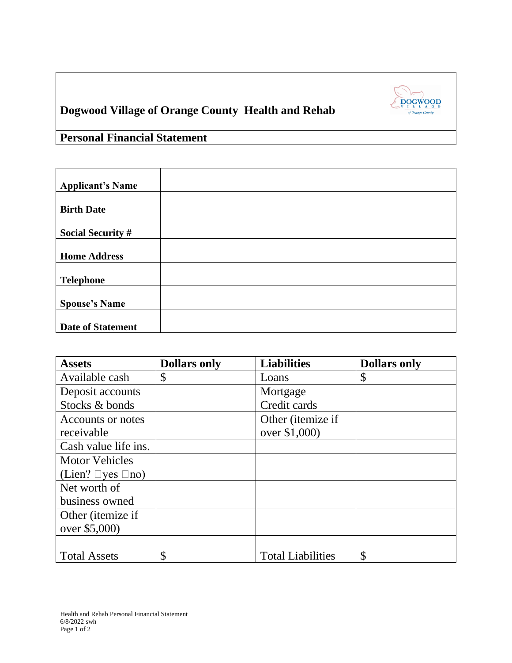

## **Dogwood Village of Orange County Health and Rehab**

**Personal Financial Statement**

| <b>Assets</b>                | <b>Dollars only</b> | <b>Liabilities</b>       | <b>Dollars only</b> |
|------------------------------|---------------------|--------------------------|---------------------|
| Available cash               | \$                  | Loans                    | \$                  |
| Deposit accounts             |                     | Mortgage                 |                     |
| Stocks & bonds               |                     | Credit cards             |                     |
| Accounts or notes            |                     | Other (itemize if        |                     |
| receivable                   |                     | over \$1,000)            |                     |
| Cash value life ins.         |                     |                          |                     |
| <b>Motor Vehicles</b>        |                     |                          |                     |
| (Lien? $\Box$ yes $\Box$ no) |                     |                          |                     |
| Net worth of                 |                     |                          |                     |
| business owned               |                     |                          |                     |
| Other ( <i>itemize</i> if    |                     |                          |                     |
| over \$5,000)                |                     |                          |                     |
|                              |                     |                          |                     |
| <b>Total Assets</b>          | \$                  | <b>Total Liabilities</b> | \$                  |